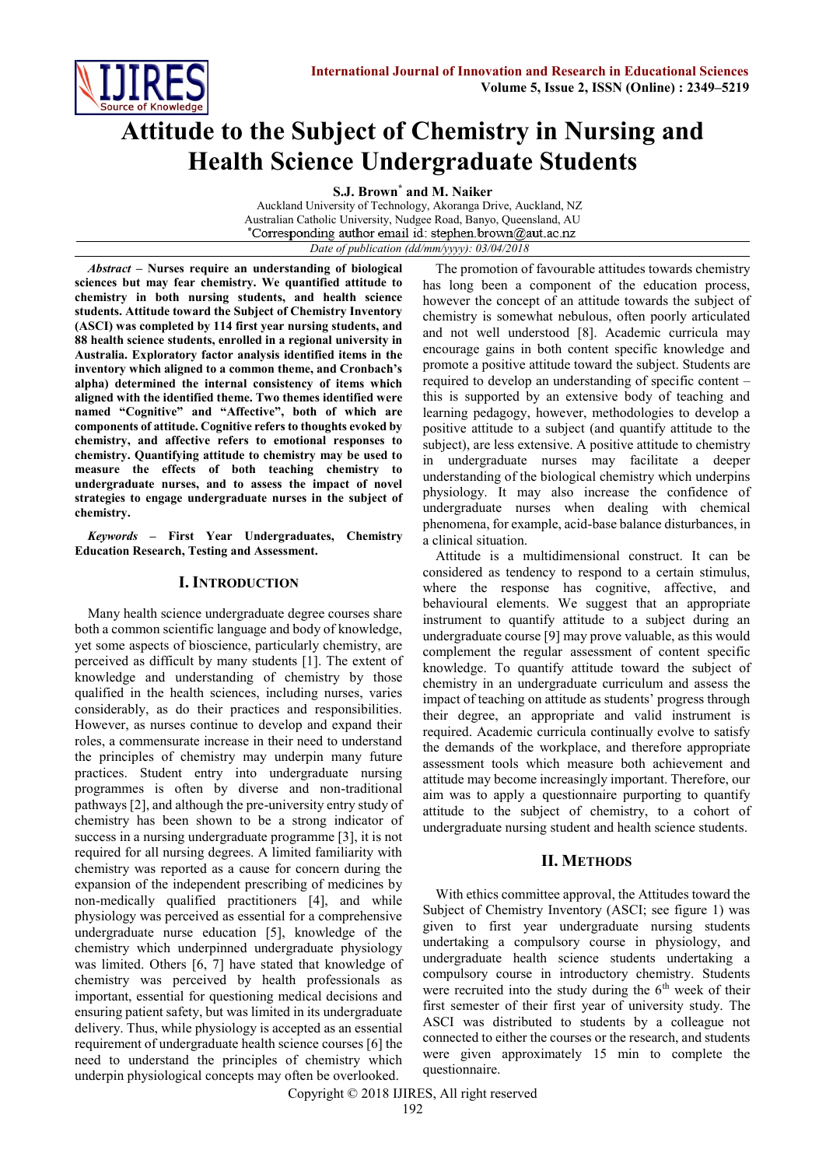

# **Attitude to the Subject of Chemistry in Nursing and Health Science Undergraduate Students**

**S.J. Brown\* and M. Naiker**

Auckland University of Technology, Akoranga Drive, Auckland, NZ Australian Catholic University, Nudgee Road, Banyo, Queensland, AU<br>
\*Corresponding author email id: stephen.brown@aut.ac.nz *Date of publication (dd/mm/yyyy): 03/04/2018*

*Abstract* **– Nurses require an understanding of biological sciences but may fear chemistry. We quantified attitude to chemistry in both nursing students, and health science students. Attitude toward the Subject of Chemistry Inventory (ASCI) was completed by 114 first year nursing students, and 88 health science students, enrolled in a regional university in Australia. Exploratory factor analysis identified items in the inventory which aligned to a common theme, and Cronbach's alpha) determined the internal consistency of items which aligned with the identified theme. Two themes identified were named "Cognitive" and "Affective", both of which are components of attitude. Cognitive refers to thoughts evoked by chemistry, and affective refers to emotional responses to chemistry. Quantifying attitude to chemistry may be used to measure the effects of both teaching chemistry to undergraduate nurses, and to assess the impact of novel strategies to engage undergraduate nurses in the subject of chemistry.**

*Keywords* **– First Year Undergraduates, Chemistry Education Research, Testing and Assessment.**

# **I. INTRODUCTION**

Many health science undergraduate degree courses share both a common scientific language and body of knowledge, yet some aspects of bioscience, particularly chemistry, are perceived as difficult by many students [1]. The extent of knowledge and understanding of chemistry by those qualified in the health sciences, including nurses, varies considerably, as do their practices and responsibilities. However, as nurses continue to develop and expand their roles, a commensurate increase in their need to understand the principles of chemistry may underpin many future practices. Student entry into undergraduate nursing programmes is often by diverse and non-traditional pathways [2], and although the pre-university entry study of chemistry has been shown to be a strong indicator of success in a nursing undergraduate programme [3], it is not required for all nursing degrees. A limited familiarity with chemistry was reported as a cause for concern during the expansion of the independent prescribing of medicines by non-medically qualified practitioners [4], and while physiology was perceived as essential for a comprehensive undergraduate nurse education [5], knowledge of the chemistry which underpinned undergraduate physiology was limited. Others [6, 7] have stated that knowledge of chemistry was perceived by health professionals as important, essential for questioning medical decisions and ensuring patient safety, but was limited in its undergraduate delivery. Thus, while physiology is accepted as an essential requirement of undergraduate health science courses [6] the need to understand the principles of chemistry which underpin physiological concepts may often be overlooked.

The promotion of favourable attitudes towards chemistry has long been a component of the education process, however the concept of an attitude towards the subject of chemistry is somewhat nebulous, often poorly articulated and not well understood [8]. Academic curricula may encourage gains in both content specific knowledge and promote a positive attitude toward the subject. Students are required to develop an understanding of specific content – this is supported by an extensive body of teaching and learning pedagogy, however, methodologies to develop a positive attitude to a subject (and quantify attitude to the subject), are less extensive. A positive attitude to chemistry in undergraduate nurses may facilitate a deeper understanding of the biological chemistry which underpins physiology. It may also increase the confidence of undergraduate nurses when dealing with chemical phenomena, for example, acid-base balance disturbances, in a clinical situation.

Attitude is a multidimensional construct. It can be considered as tendency to respond to a certain stimulus, where the response has cognitive, affective, and behavioural elements. We suggest that an appropriate instrument to quantify attitude to a subject during an undergraduate course [9] may prove valuable, as this would complement the regular assessment of content specific knowledge. To quantify attitude toward the subject of chemistry in an undergraduate curriculum and assess the impact of teaching on attitude as students' progress through their degree, an appropriate and valid instrument is required. Academic curricula continually evolve to satisfy the demands of the workplace, and therefore appropriate assessment tools which measure both achievement and attitude may become increasingly important. Therefore, our aim was to apply a questionnaire purporting to quantify attitude to the subject of chemistry, to a cohort of undergraduate nursing student and health science students.

# **II. METHODS**

With ethics committee approval, the Attitudes toward the Subject of Chemistry Inventory (ASCI; see figure 1) was given to first year undergraduate nursing students undertaking a compulsory course in physiology, and undergraduate health science students undertaking a compulsory course in introductory chemistry. Students were recruited into the study during the  $6<sup>th</sup>$  week of their first semester of their first year of university study. The ASCI was distributed to students by a colleague not connected to either the courses or the research, and students were given approximately 15 min to complete the questionnaire.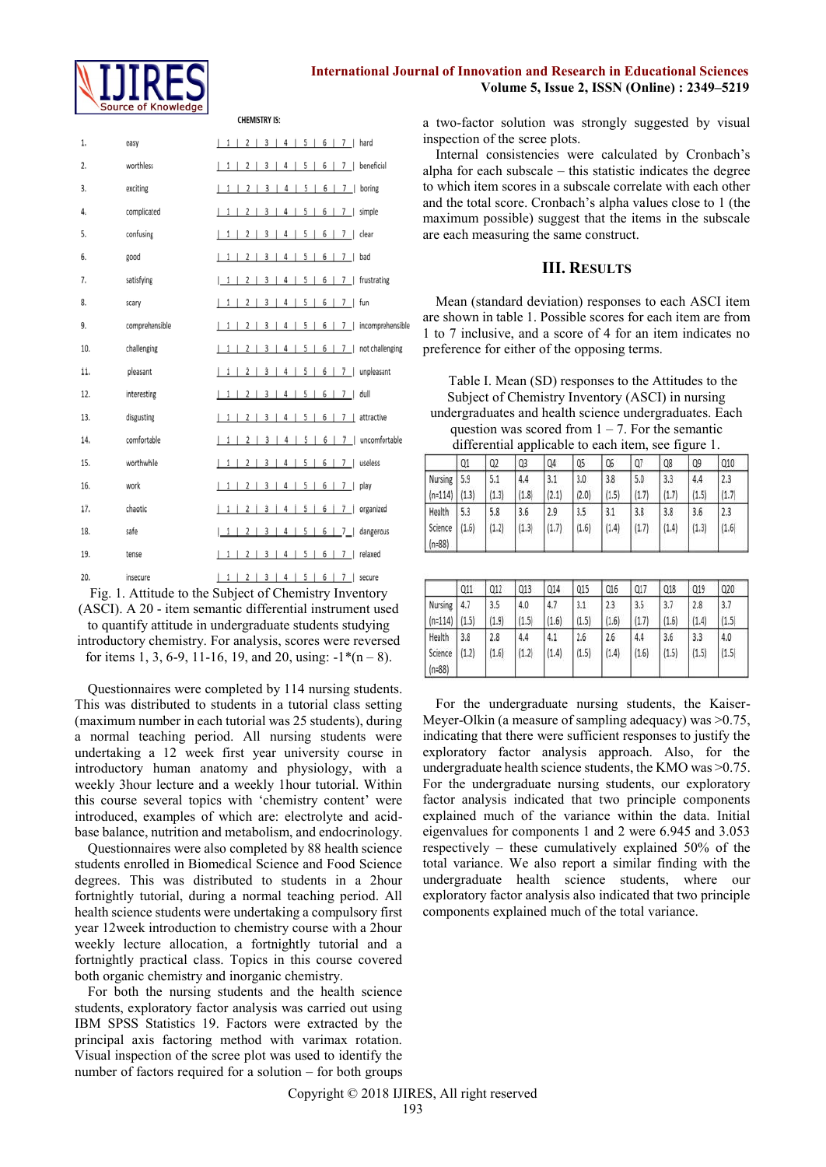

# **International Journal of Innovation and Research in Educational Sciences Volume 5, Issue 2, ISSN (Online) : 2349–5219**

**CHEMISTRY IS:** 

| 1.  | easy           | $12$   3   4   5   6   7   hard<br>1                                                                      |
|-----|----------------|-----------------------------------------------------------------------------------------------------------|
| 2.  | worthless      | 3   4   5   6   7  <br>beneficial<br>1<br>2 <sub>1</sub><br>$\perp$                                       |
| 3.  | exciting       | 1 1 2 3 4 5 6 7<br>boring                                                                                 |
| 4.  | complicated    | 3   4   5   6   7   simple<br>112                                                                         |
| 5.  | confusing      | 3 <sup>1</sup><br>$5 \mid 6 \mid 7 \mid$ clear<br>4 <sup>1</sup><br>1<br>2<br>п                           |
| 6.  | good           | 3   4   5   6   7  <br>2 <sub>1</sub><br>1<br>bad                                                         |
| 7.  | satisfying     | 5   6   7  <br>2<br>3<br>4<br>J.<br>frustrating<br>1<br>-1<br>$\mathbf{I}$                                |
| 8.  | scary          | 5   6  <br>2 <sub>1</sub><br>3 <sup>1</sup><br>4<br>7 <sup>1</sup><br>fun<br>1                            |
| 9.  | comprehensible | 5   6   7  <br>incomprehensib<br>2<br>3 <sup>1</sup><br>4<br>1                                            |
| 10. | challenging    | 3   4   5   6   7   not challenging<br>2<br>-1<br>$\mathbf{1}$                                            |
| 11. | pleasant       | 3   4   5   6   7   unpleasant<br>$1 \mid 2 \mid$                                                         |
| 12. | interesting    | 3   4   5   6   7  <br>dull<br>1<br>$\begin{array}{c} 2 \end{array}$                                      |
| 13. | disgusting     | 3   4   5   6   7   attractive<br>2 <sub>1</sub><br>1                                                     |
| 14. | comfortable    | 5 <sub>1</sub><br>6   7   uncomfortable<br>$2 \mid 3 \mid$<br>4 <sub>1</sub><br>$\vert$ 1<br>$\mathbf{1}$ |
| 15. | worthwhile     | 4   5   6   7  <br>2 <sub>1</sub><br>$3 \mid$<br>useless<br>1                                             |
| 16. | work           | 5   6   7  <br>2<br>3   4  <br>1<br>-1<br>play                                                            |
| 17. | chaotic        | 5   6   7  <br>2 <sub>1</sub><br>3 <sup>1</sup><br>4<br>organized<br>1                                    |
| 18. | safe           | 3 <sup>1</sup><br>4<br>$5 \mid 6 \mid 7 \mid$ dangerous<br> 1 <br>2<br>J.                                 |
| 19. | tense          | 3   4   5   6   7   relaxed<br>2<br>$1 \mid$                                                              |
| 20. | insecure       | 1123445677<br>secure                                                                                      |

Fig. 1. Attitude to the Subject of Chemistry Inventory (ASCI). A 20 - item semantic differential instrument used to quantify attitude in undergraduate students studying introductory chemistry. For analysis, scores were reversed

for items 1, 3, 6-9, 11-16, 19, and 20, using:  $-1*(n-8)$ .

Questionnaires were completed by 114 nursing students. This was distributed to students in a tutorial class setting (maximum number in each tutorial was 25 students), during a normal teaching period. All nursing students were undertaking a 12 week first year university course in introductory human anatomy and physiology, with a weekly 3hour lecture and a weekly 1hour tutorial. Within this course several topics with 'chemistry content' were introduced, examples of which are: electrolyte and acidbase balance, nutrition and metabolism, and endocrinology.

Questionnaires were also completed by 88 health science students enrolled in Biomedical Science and Food Science degrees. This was distributed to students in a 2hour fortnightly tutorial, during a normal teaching period. All health science students were undertaking a compulsory first year 12week introduction to chemistry course with a 2hour weekly lecture allocation, a fortnightly tutorial and a fortnightly practical class. Topics in this course covered both organic chemistry and inorganic chemistry.

For both the nursing students and the health science students, exploratory factor analysis was carried out using IBM SPSS Statistics 19. Factors were extracted by the principal axis factoring method with varimax rotation. Visual inspection of the scree plot was used to identify the number of factors required for a solution – for both groups a two-factor solution was strongly suggested by visual inspection of the scree plots.

Internal consistencies were calculated by Cronbach's alpha for each subscale – this statistic indicates the degree to which item scores in a subscale correlate with each other and the total score. Cronbach's alpha values close to 1 (the maximum possible) suggest that the items in the subscale are each measuring the same construct.

# **III. RESULTS**

Mean (standard deviation) responses to each ASCI item are shown in table 1. Possible scores for each item are from 1 to 7 inclusive, and a score of 4 for an item indicates no preference for either of the opposing terms.

Table I. Mean (SD) responses to the Attitudes to the Subject of Chemistry Inventory (ASCI) in nursing undergraduates and health science undergraduates. Each question was scored from  $1 - 7$ . For the semantic differential applicable to each item, see figure 1.

|                     | Q1    | Q2    | Q3    | Q4    | Q5    | Q6    | Q7    | Q8    | Q9    | 010   |
|---------------------|-------|-------|-------|-------|-------|-------|-------|-------|-------|-------|
| Nursing             | 5.9   | 5.1   | 4.4   | 3.1   | 3.0   | 3.8   | 5.0   | 3.3   | 4.4   | 2.3   |
| $(n=114)$ $(1.3)$   |       | (1.3) | (1.8) | (2.1) | (2.0) | (1.5) | (1.7) | (1.7) | (1.5) | (1.7) |
| Health              | 5.3   | 5.8   | 3.6   | 2.9   | 3.5   | 3.1   | 3.8   | 3.8   | 3.6   | 2.3   |
| Science<br>$(n=88)$ | (1.6) | (1.2) | (1.3) | (1.7) | (1.6) | (1.4) | (1.7) | (1.4) | (1.3) | (1.6) |

|                     | Q11   | 012   | Q13   | Q14   | Q15   | Q16   | Q17   | Q18   | 019   | 020   |
|---------------------|-------|-------|-------|-------|-------|-------|-------|-------|-------|-------|
| Nursing             | 4.7   | 3.5   | 4.0   | 4.7   | 3.1   | 2.3   | 3.5   | 3.7   | 2.8   | 3.7   |
| $(n=114)$           | (1.5) | (1.9) | (1.5) | (1.6) | (1.5) | (1.6) | (1.7) | (1.6) | (1.4) | (1.5) |
| Health              | 3.8   | 2.8   | 4.4   | 4.1   | 2.6   | 2.6   | 4.4   | 3.6   | 3.3   | 4.0   |
| Science<br>$(n=88)$ | (1.2) | (1.6) | (1.2) | (1.4) | (1.5) | (1.4) | (1.6) | (1.5) | (1.5) | (1.5) |

For the undergraduate nursing students, the Kaiser-Meyer-Olkin (a measure of sampling adequacy) was  $>0.75$ , indicating that there were sufficient responses to justify the exploratory factor analysis approach. Also, for the undergraduate health science students, the KMO was >0.75. For the undergraduate nursing students, our exploratory factor analysis indicated that two principle components explained much of the variance within the data. Initial eigenvalues for components 1 and 2 were 6.945 and 3.053 respectively – these cumulatively explained 50% of the total variance. We also report a similar finding with the undergraduate health science students, where our exploratory factor analysis also indicated that two principle components explained much of the total variance.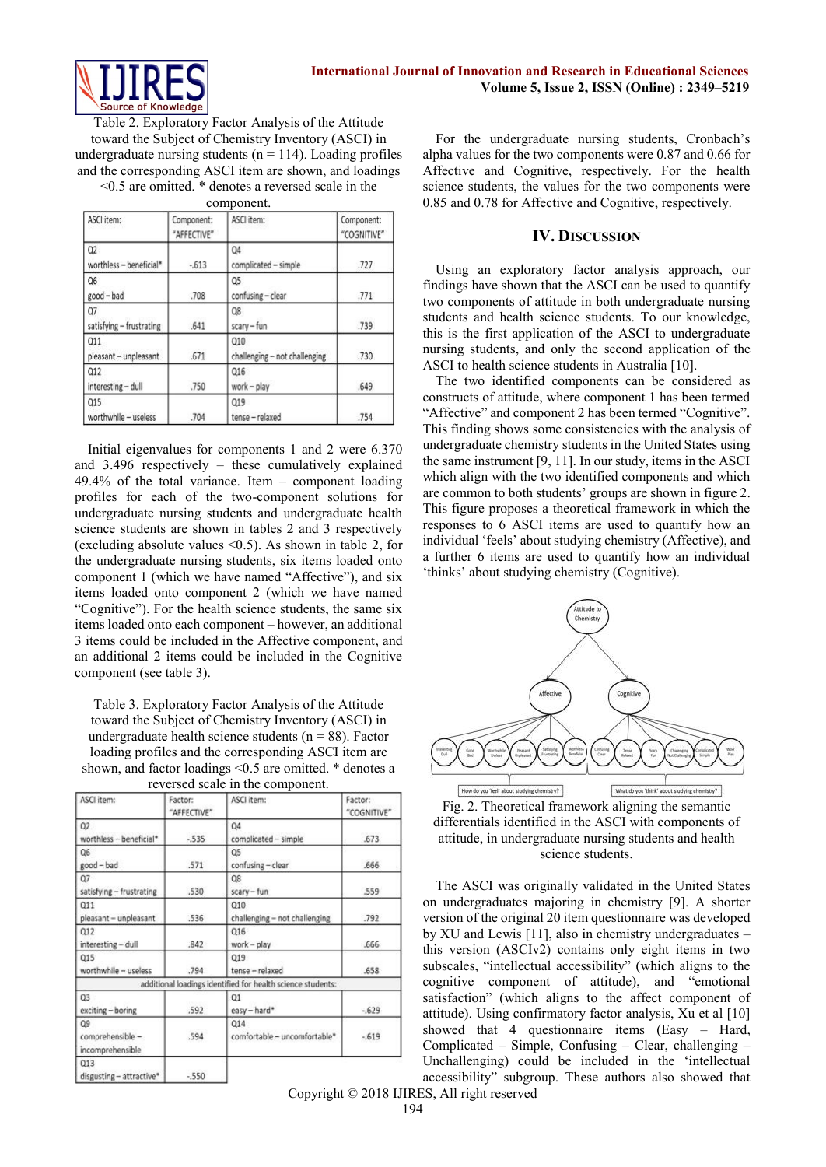

Table 2. Exploratory Factor Analysis of the Attitude toward the Subject of Chemistry Inventory (ASCI) in undergraduate nursing students ( $n = 114$ ). Loading profiles and the corresponding ASCI item are shown, and loadings <0.5 are omitted. \* denotes a reversed scale in the

component.

| ASCI item:                     | Component:<br>"AFFECTIVE" | ASCI item:                           | Component:<br>"COGNITIVE" |
|--------------------------------|---------------------------|--------------------------------------|---------------------------|
| Q2<br>worthless - beneficial*  | $-613$                    | Q4<br>complicated - simple           | .727                      |
| Q6<br>good-bad                 | .708                      | Q5<br>confusing - clear              | .771                      |
| Q7<br>satisfying - frustrating | .641                      | Q8<br>scary - fun                    | .739                      |
| Q11<br>pleasant - unpleasant   | .671                      | 010<br>challenging - not challenging | .730                      |
| 012<br>interesting - dull      | .750                      | Q16<br>work - play                   | .649                      |
| 015<br>worthwhile - useless    | .704                      | 019<br>tense - relaxed               | .754                      |

Initial eigenvalues for components 1 and 2 were 6.370 and 3.496 respectively – these cumulatively explained 49.4% of the total variance. Item – component loading profiles for each of the two-component solutions for undergraduate nursing students and undergraduate health science students are shown in tables 2 and 3 respectively (excluding absolute values  $\leq 0.5$ ). As shown in table 2, for the undergraduate nursing students, six items loaded onto component 1 (which we have named "Affective"), and six items loaded onto component 2 (which we have named "Cognitive"). For the health science students, the same six items loaded onto each component – however, an additional 3 items could be included in the Affective component, and an additional 2 items could be included in the Cognitive component (see table 3).

Table 3. Exploratory Factor Analysis of the Attitude toward the Subject of Chemistry Inventory (ASCI) in undergraduate health science students ( $n = 88$ ). Factor loading profiles and the corresponding ASCI item are shown, and factor loadings <0.5 are omitted. \* denotes a reversed scale in the component.

| ASCI item:                                 | Factor:<br>"AFFECTIVE" | ASCI item:                                                  | Factor:<br>"COGNITIVE" |
|--------------------------------------------|------------------------|-------------------------------------------------------------|------------------------|
| Q2<br>worthless - beneficial*              | $-535$                 | Q4<br>complicated - simple                                  | .673                   |
| Q6<br>good-bad                             | .571                   | Q5<br>confusing - clear                                     | .666                   |
| Q7<br>satisfying - frustrating             | .530                   | Q8<br>scary-fun                                             | .559                   |
| Q11<br>pleasant - unpleasant               | .536                   | Q10<br>challenging - not challenging                        | .792                   |
| Q12<br>interesting - dull                  | .842                   | 016<br>work - play                                          | .666                   |
| Q15<br>worthwhile - useless                | .794                   | 019<br>tense - relaxed                                      | .658                   |
|                                            |                        | additional loadings identified for health science students: |                        |
| Q3<br>exciting - boring                    | .592                   | $\alpha$<br>easy-hard*                                      | $-629$                 |
| Q9<br>comprehensible -<br>incomprehensible | .594                   | 014<br>comfortable - uncomfortable*                         | $-619$                 |
| Q13<br>disgusting - attractive*            | $-550$                 |                                                             |                        |

For the undergraduate nursing students, Cronbach's alpha values for the two components were 0.87 and 0.66 for Affective and Cognitive, respectively. For the health science students, the values for the two components were 0.85 and 0.78 for Affective and Cognitive, respectively.

# **IV. DISCUSSION**

Using an exploratory factor analysis approach, our findings have shown that the ASCI can be used to quantify two components of attitude in both undergraduate nursing students and health science students. To our knowledge, this is the first application of the ASCI to undergraduate nursing students, and only the second application of the ASCI to health science students in Australia [10].

The two identified components can be considered as constructs of attitude, where component 1 has been termed "Affective" and component 2 has been termed "Cognitive". This finding shows some consistencies with the analysis of undergraduate chemistry students in the United States using the same instrument [9, 11]. In our study, items in the ASCI which align with the two identified components and which are common to both students' groups are shown in figure 2. This figure proposes a theoretical framework in which the responses to 6 ASCI items are used to quantify how an individual 'feels' about studying chemistry (Affective), and a further 6 items are used to quantify how an individual 'thinks' about studying chemistry (Cognitive).



Fig. 2. Theoretical framework aligning the semantic differentials identified in the ASCI with components of attitude, in undergraduate nursing students and health science students.

The ASCI was originally validated in the United States on undergraduates majoring in chemistry [9]. A shorter version of the original 20 item questionnaire was developed by XU and Lewis [11], also in chemistry undergraduates – this version (ASCIv2) contains only eight items in two subscales, "intellectual accessibility" (which aligns to the cognitive component of attitude), and "emotional satisfaction" (which aligns to the affect component of attitude). Using confirmatory factor analysis, Xu et al [10] showed that 4 questionnaire items (Easy – Hard, Complicated – Simple, Confusing – Clear, challenging – Unchallenging) could be included in the 'intellectual accessibility" subgroup. These authors also showed that

Copyright © 2018 IJIRES, All right reserved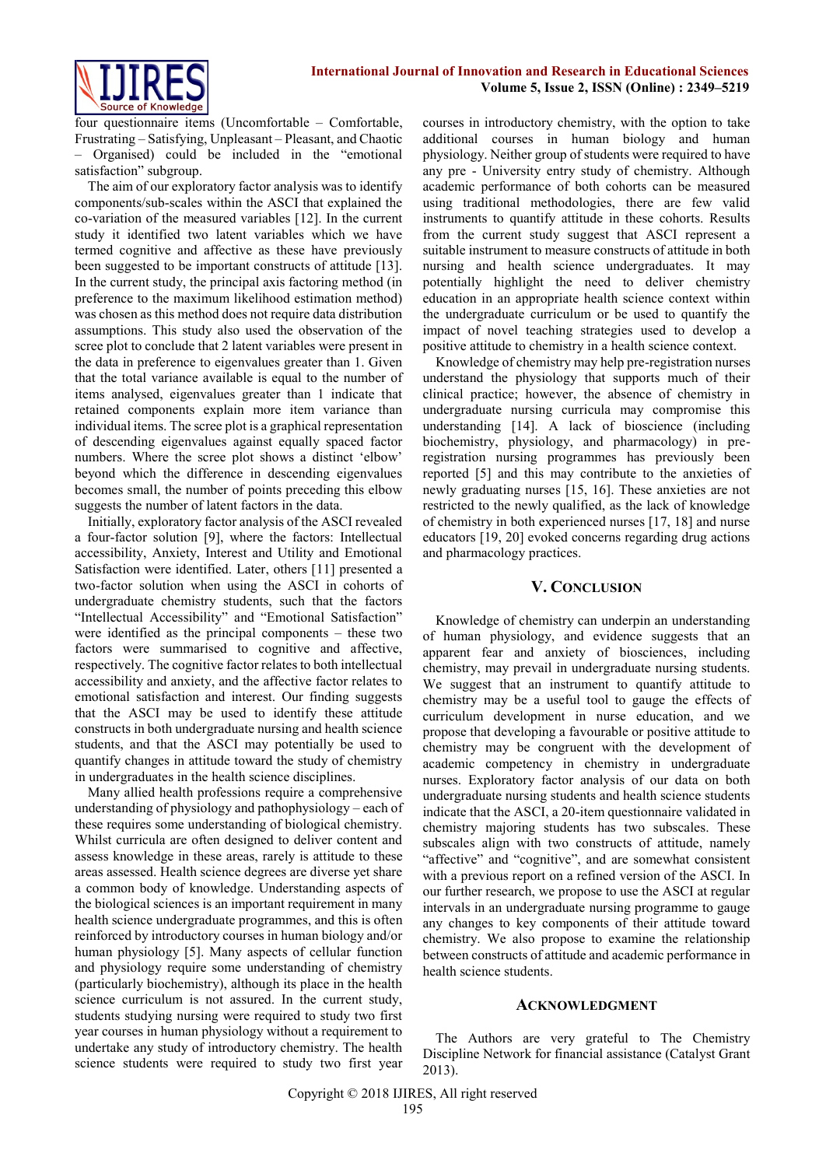

four questionnaire items (Uncomfortable – Comfortable, Frustrating – Satisfying, Unpleasant – Pleasant, and Chaotic – Organised) could be included in the "emotional satisfaction" subgroup.

The aim of our exploratory factor analysis was to identify components/sub-scales within the ASCI that explained the co-variation of the measured variables [12]. In the current study it identified two latent variables which we have termed cognitive and affective as these have previously been suggested to be important constructs of attitude [13]. In the current study, the principal axis factoring method (in preference to the maximum likelihood estimation method) was chosen as this method does not require data distribution assumptions. This study also used the observation of the scree plot to conclude that 2 latent variables were present in the data in preference to eigenvalues greater than 1. Given that the total variance available is equal to the number of items analysed, eigenvalues greater than 1 indicate that retained components explain more item variance than individual items. The scree plot is a graphical representation of descending eigenvalues against equally spaced factor numbers. Where the scree plot shows a distinct 'elbow' beyond which the difference in descending eigenvalues becomes small, the number of points preceding this elbow suggests the number of latent factors in the data.

Initially, exploratory factor analysis of the ASCI revealed a four-factor solution [9], where the factors: Intellectual accessibility, Anxiety, Interest and Utility and Emotional Satisfaction were identified. Later, others [11] presented a two-factor solution when using the ASCI in cohorts of undergraduate chemistry students, such that the factors "Intellectual Accessibility" and "Emotional Satisfaction" were identified as the principal components – these two factors were summarised to cognitive and affective, respectively. The cognitive factor relates to both intellectual accessibility and anxiety, and the affective factor relates to emotional satisfaction and interest. Our finding suggests that the ASCI may be used to identify these attitude constructs in both undergraduate nursing and health science students, and that the ASCI may potentially be used to quantify changes in attitude toward the study of chemistry in undergraduates in the health science disciplines.

Many allied health professions require a comprehensive understanding of physiology and pathophysiology – each of these requires some understanding of biological chemistry. Whilst curricula are often designed to deliver content and assess knowledge in these areas, rarely is attitude to these areas assessed. Health science degrees are diverse yet share a common body of knowledge. Understanding aspects of the biological sciences is an important requirement in many health science undergraduate programmes, and this is often reinforced by introductory courses in human biology and/or human physiology [5]. Many aspects of cellular function and physiology require some understanding of chemistry (particularly biochemistry), although its place in the health science curriculum is not assured. In the current study, students studying nursing were required to study two first year courses in human physiology without a requirement to undertake any study of introductory chemistry. The health science students were required to study two first year

courses in introductory chemistry, with the option to take additional courses in human biology and human physiology. Neither group of students were required to have any pre - University entry study of chemistry. Although academic performance of both cohorts can be measured using traditional methodologies, there are few valid instruments to quantify attitude in these cohorts. Results from the current study suggest that ASCI represent a suitable instrument to measure constructs of attitude in both nursing and health science undergraduates. It may potentially highlight the need to deliver chemistry education in an appropriate health science context within the undergraduate curriculum or be used to quantify the impact of novel teaching strategies used to develop a positive attitude to chemistry in a health science context.

Knowledge of chemistry may help pre-registration nurses understand the physiology that supports much of their clinical practice; however, the absence of chemistry in undergraduate nursing curricula may compromise this understanding [14]. A lack of bioscience (including biochemistry, physiology, and pharmacology) in preregistration nursing programmes has previously been reported [5] and this may contribute to the anxieties of newly graduating nurses [15, 16]. These anxieties are not restricted to the newly qualified, as the lack of knowledge of chemistry in both experienced nurses [17, 18] and nurse educators [19, 20] evoked concerns regarding drug actions and pharmacology practices.

### **V. CONCLUSION**

Knowledge of chemistry can underpin an understanding of human physiology, and evidence suggests that an apparent fear and anxiety of biosciences, including chemistry, may prevail in undergraduate nursing students. We suggest that an instrument to quantify attitude to chemistry may be a useful tool to gauge the effects of curriculum development in nurse education, and we propose that developing a favourable or positive attitude to chemistry may be congruent with the development of academic competency in chemistry in undergraduate nurses. Exploratory factor analysis of our data on both undergraduate nursing students and health science students indicate that the ASCI, a 20-item questionnaire validated in chemistry majoring students has two subscales. These subscales align with two constructs of attitude, namely "affective" and "cognitive", and are somewhat consistent with a previous report on a refined version of the ASCI. In our further research, we propose to use the ASCI at regular intervals in an undergraduate nursing programme to gauge any changes to key components of their attitude toward chemistry. We also propose to examine the relationship between constructs of attitude and academic performance in health science students.

#### **ACKNOWLEDGMENT**

The Authors are very grateful to The Chemistry Discipline Network for financial assistance (Catalyst Grant 2013).